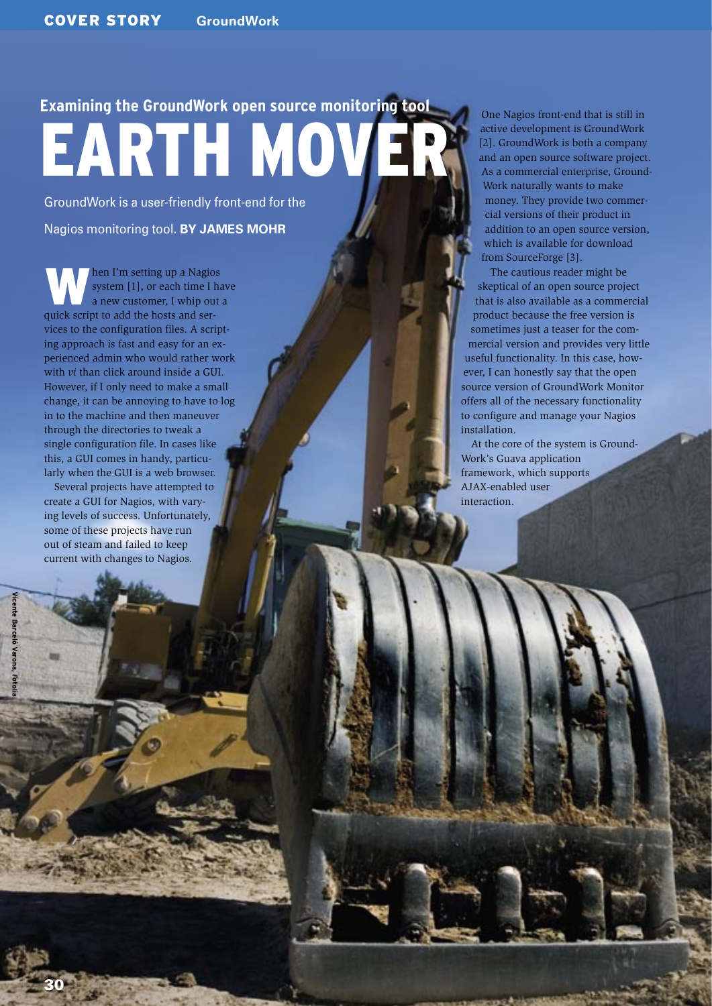# **Examining the GroundWork open source monitoring tool** EARTH MOVE

GroundWork is a user-friendly front-end for the Nagios monitoring tool. **BY JAMES MOHR**

hen I'm setting up a Nagios system [1], or each time I have a new customer, I whip out a quick script to add the hosts and services to the configuration files. A scripting approach is fast and easy for an experienced admin who would rather work with *vi* than click around inside a GUI. However, if I only need to make a small change, it can be annoying to have to log in to the machine and then maneuver through the directories to tweak a single configuration file. In cases like this, a GUI comes in handy, particularly when the GUI is a web browser.

Several projects have attempted to create a GUI for Nagios, with varying levels of success. Unfortunately, some of these projects have run out of steam and failed to keep current with changes to Nagios.

One Nagios front-end that is still in active development is GroundWork [2]. GroundWork is both a company and an open source software project. As a commercial enterprise, Ground-Work naturally wants to make money. They provide two commercial versions of their product in addition to an open source version, which is available for download from SourceForge [3].

The cautious reader might be skeptical of an open source project that is also available as a commercial product because the free version is sometimes just a teaser for the commercial version and provides very little useful functionality. In this case, however, I can honestly say that the open source version of GroundWork Monitor offers all of the necessary functionality to configure and manage your Nagios installation.

At the core of the system is Ground-Work's Guava application framework, which supports AJAX-enabled user interaction.

**Vicente Barceló Varona, Fotolia**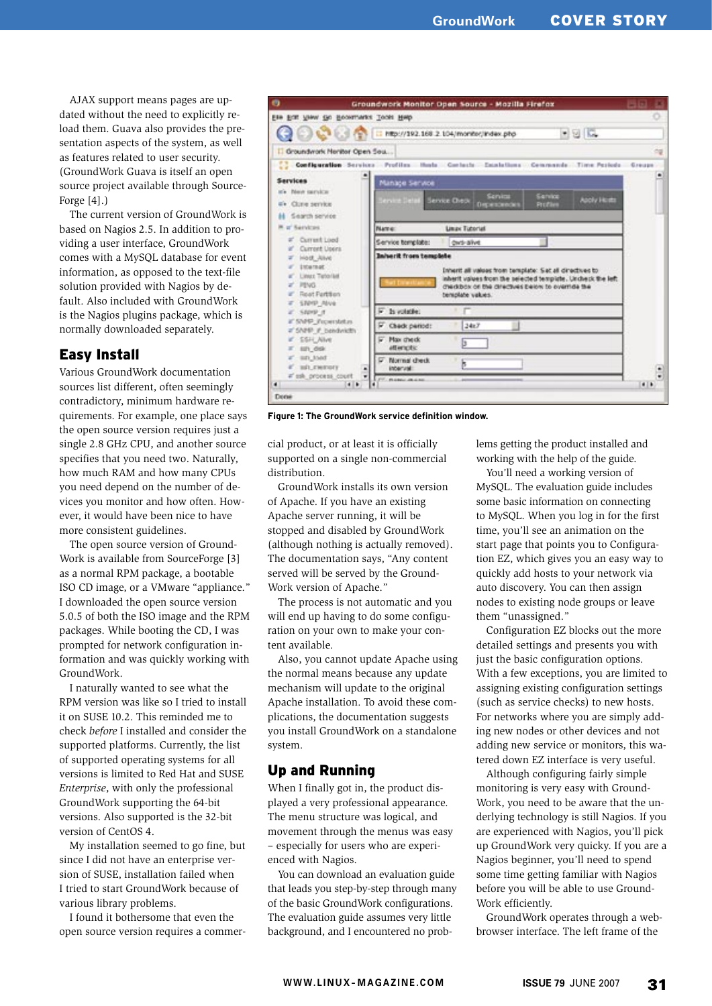AJAX support means pages are updated without the need to explicitly reload them. Guava also provides the presentation aspects of the system, as well as features related to user security. (GroundWork Guava is itself an open source project available through Source-Forge [4].)

The current version of GroundWork is based on Nagios 2.5. In addition to providing a user interface, GroundWork comes with a MySQL database for event information, as opposed to the text-file solution provided with Nagios by default. Also included with GroundWork is the Nagios plugins package, which is normally downloaded separately.

## Easy Install

Various GroundWork documentation sources list different, often seemingly contradictory, minimum hardware requirements. For example, one place says the open source version requires just a single 2.8 GHz CPU, and another source specifies that you need two. Naturally, how much RAM and how many CPUs you need depend on the number of devices you monitor and how often. However, it would have been nice to have more consistent guidelines.

The open source version of Ground-Work is available from SourceForge [3] as a normal RPM package, a bootable ISO CD image, or a VMware "appliance." I downloaded the open source version 5.0.5 of both the ISO image and the RPM packages. While booting the CD, I was prompted for network configuration information and was quickly working with GroundWork.

I naturally wanted to see what the RPM version was like so I tried to install it on SUSE 10.2. This reminded me to check *before* I installed and consider the supported platforms. Currently, the list of supported operating systems for all versions is limited to Red Hat and SUSE *Enterprise*, with only the professional GroundWork supporting the 64-bit versions. Also supported is the 32-bit version of CentOS 4.

My installation seemed to go fine, but since I did not have an enterprise version of SUSE, installation failed when I tried to start GroundWork because of various library problems.

I found it bothersome that even the open source version requires a commer-



**Figure 1: The GroundWork service definition window.**

cial product, or at least it is officially supported on a single non-commercial distribution.

GroundWork installs its own version of Apache. If you have an existing Apache server running, it will be stopped and disabled by GroundWork (although nothing is actually removed). The documentation says, "Any content served will be served by the Ground-Work version of Apache."

The process is not automatic and you will end up having to do some configuration on your own to make your content available.

Also, you cannot update Apache using the normal means because any update mechanism will update to the original Apache installation. To avoid these complications, the documentation suggests you install GroundWork on a standalone system.

## Up and Running

When I finally got in, the product displayed a very professional appearance. The menu structure was logical, and movement through the menus was easy – especially for users who are experienced with Nagios.

You can download an evaluation guide that leads you step-by-step through many of the basic GroundWork configurations. The evaluation guide assumes very little background, and I encountered no problems getting the product installed and working with the help of the guide.

You'll need a working version of MySQL. The evaluation guide includes some basic information on connecting to MySQL. When you log in for the first time, you'll see an animation on the start page that points you to Configuration EZ, which gives you an easy way to quickly add hosts to your network via auto discovery. You can then assign nodes to existing node groups or leave them "unassigned."

Configuration EZ blocks out the more detailed settings and presents you with just the basic configuration options. With a few exceptions, you are limited to assigning existing configuration settings (such as service checks) to new hosts. For networks where you are simply adding new nodes or other devices and not adding new service or monitors, this watered down EZ interface is very useful.

Although configuring fairly simple monitoring is very easy with Ground-Work, you need to be aware that the underlying technology is still Nagios. If you are experienced with Nagios, you'll pick up GroundWork very quicky. If you are a Nagios beginner, you'll need to spend some time getting familiar with Nagios before you will be able to use Ground-Work efficiently.

GroundWork operates through a webbrowser interface. The left frame of the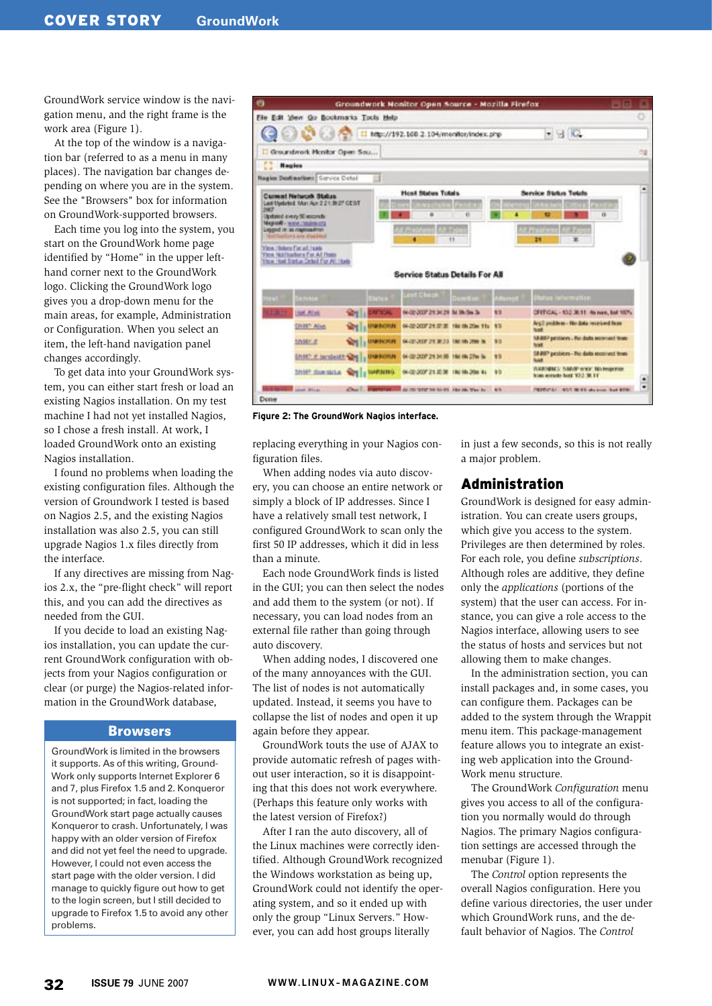GroundWork service window is the navigation menu, and the right frame is the work area (Figure 1).

At the top of the window is a navigation bar (referred to as a menu in many places). The navigation bar changes depending on where you are in the system. See the "Browsers" box for information on GroundWork-supported browsers.

Each time you log into the system, you start on the GroundWork home page identified by "Home" in the upper lefthand corner next to the GroundWork logo. Clicking the GroundWork logo gives you a drop-down menu for the main areas, for example, Administration or Configuration. When you select an item, the left-hand navigation panel changes accordingly.

To get data into your GroundWork system, you can either start fresh or load an existing Nagios installation. On my test machine I had not yet installed Nagios, so I chose a fresh install. At work, I loaded GroundWork onto an existing Nagios installation.

I found no problems when loading the existing configuration files. Although the version of Groundwork I tested is based on Nagios 2.5, and the existing Nagios installation was also 2.5, you can still upgrade Nagios 1.x files directly from the interface.

If any directives are missing from Nagios 2.x, the "pre-flight check" will report this, and you can add the directives as needed from the GUI.

If you decide to load an existing Nagios installation, you can update the current GroundWork configuration with objects from your Nagios configuration or clear (or purge) the Nagios-related information in the GroundWork database,

#### Browsers

GroundWork is limited in the browsers it supports. As of this writing, Ground-Work only supports Internet Explorer 6 and 7, plus Firefox 1.5 and 2. Konqueror is not supported; in fact, loading the GroundWork start page actually causes Konqueror to crash. Unfortunately, I was happy with an older version of Firefox and did not yet feel the need to upgrade. However, I could not even access the start page with the older version. I did manage to quickly figure out how to get to the login screen, but I still decided to upgrade to Firefox 1.5 to avoid any other problems.



**Figure 2: The GroundWork Nagios interface.**

replacing everything in your Nagios configuration files.

When adding nodes via auto discovery, you can choose an entire network or simply a block of IP addresses. Since I have a relatively small test network, I configured GroundWork to scan only the first 50 IP addresses, which it did in less than a minute.

Each node GroundWork finds is listed in the GUI; you can then select the nodes and add them to the system (or not). If necessary, you can load nodes from an external file rather than going through auto discovery.

When adding nodes, I discovered one of the many annoyances with the GUI. The list of nodes is not automatically updated. Instead, it seems you have to collapse the list of nodes and open it up again before they appear.

GroundWork touts the use of AJAX to provide automatic refresh of pages without user interaction, so it is disappointing that this does not work everywhere. (Perhaps this feature only works with the latest version of Firefox?)

After I ran the auto discovery, all of the Linux machines were correctly identified. Although GroundWork recognized the Windows workstation as being up, GroundWork could not identify the operating system, and so it ended up with only the group "Linux Servers." However, you can add host groups literally

in just a few seconds, so this is not really a major problem.

### Administration

GroundWork is designed for easy administration. You can create users groups, which give you access to the system. Privileges are then determined by roles. For each role, you define *subscriptions*. Although roles are additive, they define only the *applications* (portions of the system) that the user can access. For instance, you can give a role access to the Nagios interface, allowing users to see the status of hosts and services but not allowing them to make changes.

In the administration section, you can install packages and, in some cases, you can configure them. Packages can be added to the system through the Wrappit menu item. This package-management feature allows you to integrate an existing web application into the Ground-Work menu structure.

The GroundWork *Configuration* menu gives you access to all of the configuration you normally would do through Nagios. The primary Nagios configuration settings are accessed through the menubar (Figure 1).

The *Control* option represents the overall Nagios configuration. Here you define various directories, the user under which GroundWork runs, and the default behavior of Nagios. The *Control*